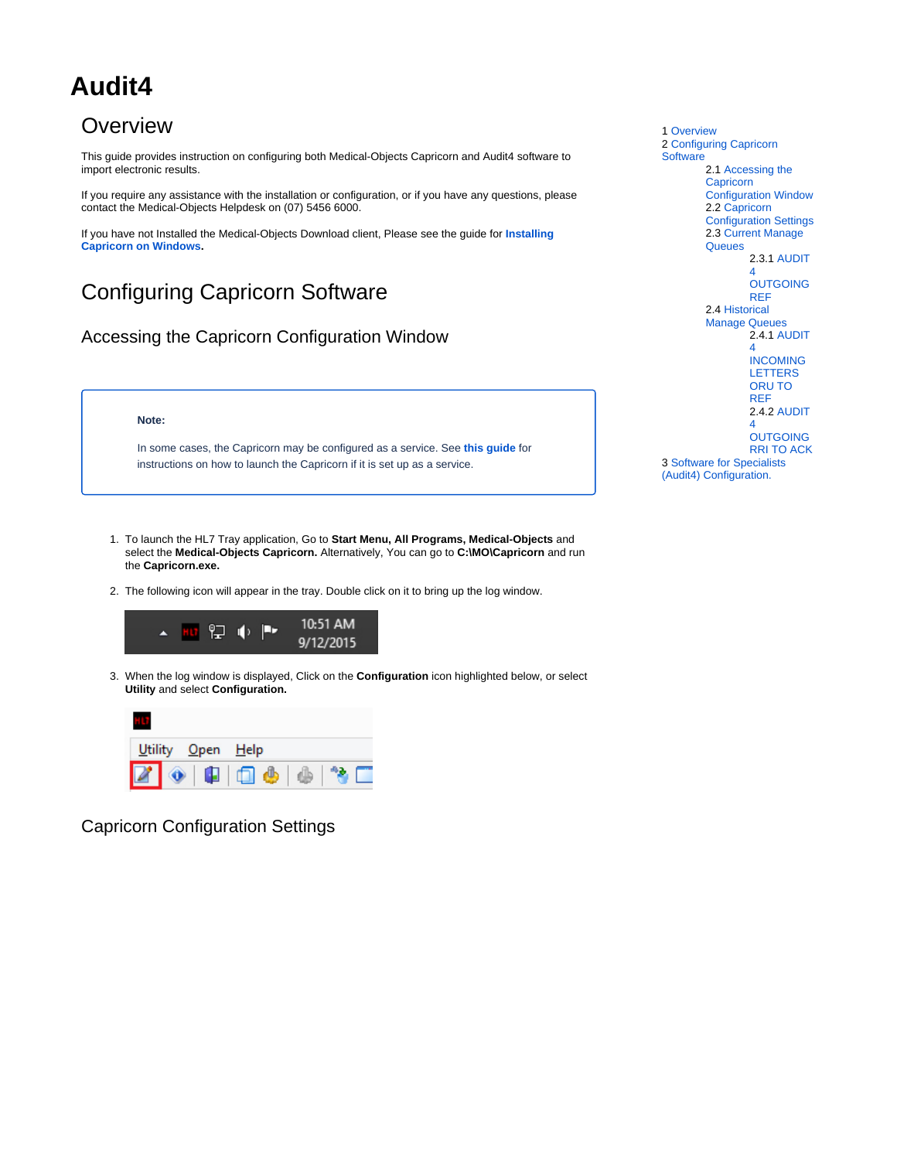# **Audit4**

## <span id="page-0-0"></span>**Overview**

This guide provides instruction on configuring both Medical-Objects Capricorn and Audit4 software to import electronic results.

If you require any assistance with the installation or configuration, or if you have any questions, please contact the Medical-Objects Helpdesk on (07) 5456 6000.

If you have not Installed the Medical-Objects Download client, Please see the guide for **[Installing](https://kb.medical-objects.com.au/display/PUB/Installing+Capricorn+on+Windows)  [Capricorn on Windows](https://kb.medical-objects.com.au/display/PUB/Installing+Capricorn+on+Windows).**

# <span id="page-0-1"></span>Configuring Capricorn Software

### <span id="page-0-2"></span>Accessing the Capricorn Configuration Window

#### **Note:**

In some cases, the Capricorn may be configured as a service. See **[this guide](https://kb.medical-objects.com.au/display/PUB/How+to+access+Capricorn+Configuration)** for instructions on how to launch the Capricorn if it is set up as a service.

1. To launch the HL7 Tray application, Go to **Start Menu, All Programs, Medical-Objects** and select the **Medical-Objects Capricorn.** Alternatively, You can go to **C:\MO\Capricorn** and run the **Capricorn.exe.**

2. The following icon will appear in the tray. Double click on it to bring up the log window.



3. When the log window is displayed, Click on the **Configuration** icon highlighted below, or select **Utility** and select **Configuration.**



<span id="page-0-3"></span>Capricorn Configuration Settings

1 [Overview](#page-0-0) 2 [Configuring Capricorn](#page-0-1)  **[Software](#page-0-1)** 2.1 [Accessing the](#page-0-2)  **Capricorn** [Configuration Window](#page-0-2) 2.2 [Capricorn](#page-0-3)  [Configuration Settings](#page-0-3) 2.3 [Current Manage](#page-3-0)  **[Queues](#page-3-0)** 2.3.1 [AUDIT](#page-3-1) [4](#page-3-1)  **OUTGOING** [REF](#page-3-1) 2.4 [Historical](#page-5-0)  [Manage Queues](#page-5-0) 2.4.1 [AUDIT](#page-5-1) [4](#page-5-1)  [INCOMING](#page-5-1)  [LETTERS](#page-5-1)  [ORU TO](#page-5-1)  [REF](#page-5-1) 2.4.2 [AUDIT](#page-8-0) [4](#page-8-0)  **OUTGOING** [RRI TO ACK](#page-8-0) 3 [Software for Specialists](#page-11-0)  [\(Audit4\) Configuration.](#page-11-0)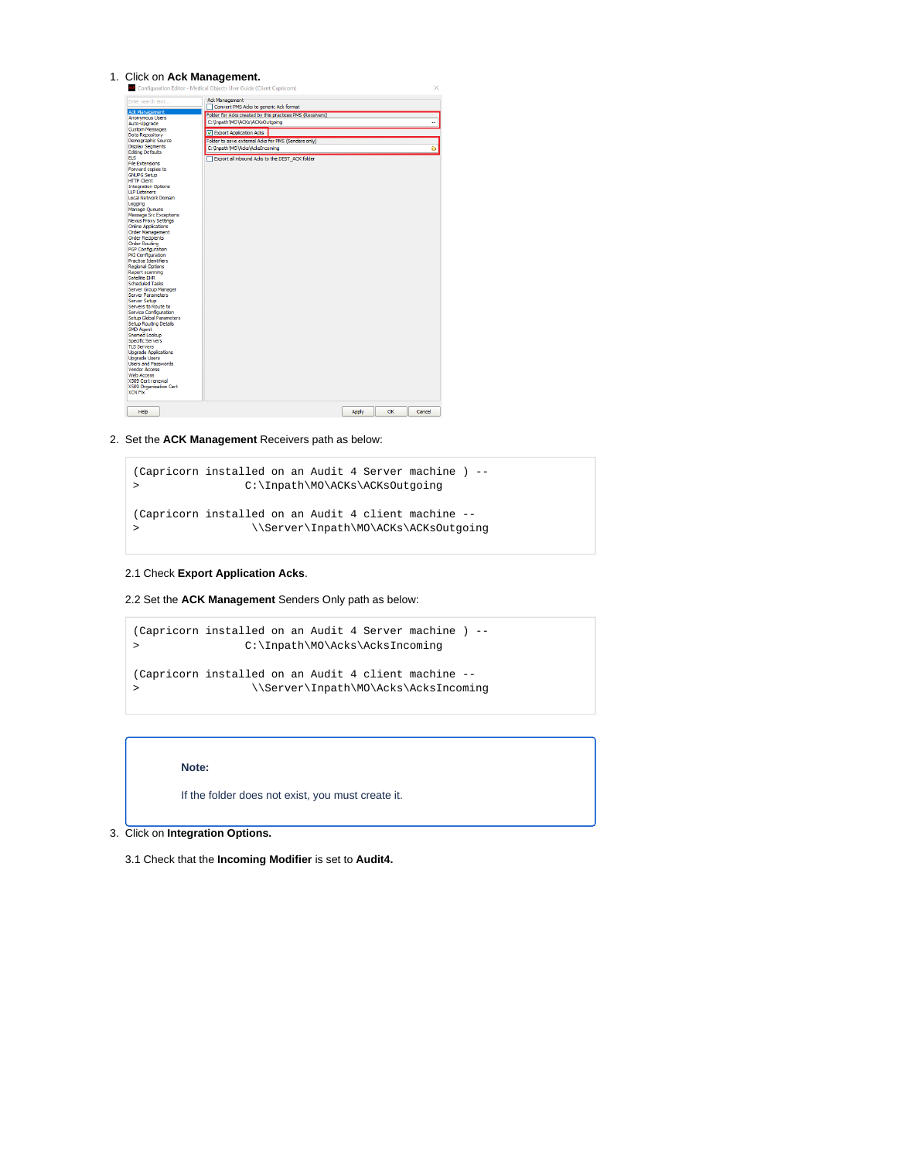#### 1. Click on **Ack Management.**

| Ack Management<br>Enter search text<br>Convert PMS Acks to generic Ack format<br>Ack Management<br>Folder for Acks created by this practices PMS (Receivers)<br><b>Anonymous Users</b><br>C: \Inpath\MO\ACKs\ACKsOutgoing<br>Auto-Upgrade<br><b>Custom Messages</b><br>D Export Application Ades<br>Data Repository<br>Demographic Source<br>Folder to save external Acks for PMS (Senders only)<br><b>Display Segments</b><br>C: \Inpath\MO\Acks\AcksIncoming<br><b>Editing Defaults</b><br><b>ELS</b><br>Export all inbound Acks to the DEST ACK folder<br><b>File Extensions</b><br>Forward copies to<br><b>GNUPG Setup</b><br><b>HTTP Client</b><br><b>Integration Options</b><br><b>LLP Listeners</b><br>Local Network Domain<br>Logging<br><b>Manage Oueues</b><br>Message Src Exceptions<br><b>Nexus Proxy Settings</b><br><b>Online Applications</b><br><b>Order Management</b><br><b>Order Recipients</b><br><b>Order Routing</b><br>PGP Configuration<br>PKI Configuration<br><b>Practice Identifiers</b><br><b>Regional Options</b><br>Report scanning<br><b>Satellite FHR</b><br>Scheduled Tasks<br>Server Group Manager<br><b>Server Parameters</b><br>Server Setup<br>Servers to Route to<br>Service Configuration<br><b>Setup Global Parameters</b><br><b>Setup Routing Details</b><br>SMD Agent<br>Snomed Lookup<br>Specific Servers<br><b>TLS Servers</b><br><b>Upgrade Applications</b><br><b>Upgrade Users</b><br><b>Users and Passwords</b><br><b>Vendor Access</b> |        |
|-----------------------------------------------------------------------------------------------------------------------------------------------------------------------------------------------------------------------------------------------------------------------------------------------------------------------------------------------------------------------------------------------------------------------------------------------------------------------------------------------------------------------------------------------------------------------------------------------------------------------------------------------------------------------------------------------------------------------------------------------------------------------------------------------------------------------------------------------------------------------------------------------------------------------------------------------------------------------------------------------------------------------------------------------------------------------------------------------------------------------------------------------------------------------------------------------------------------------------------------------------------------------------------------------------------------------------------------------------------------------------------------------------------------------------------------------------------------------------------------|--------|
|                                                                                                                                                                                                                                                                                                                                                                                                                                                                                                                                                                                                                                                                                                                                                                                                                                                                                                                                                                                                                                                                                                                                                                                                                                                                                                                                                                                                                                                                                         |        |
|                                                                                                                                                                                                                                                                                                                                                                                                                                                                                                                                                                                                                                                                                                                                                                                                                                                                                                                                                                                                                                                                                                                                                                                                                                                                                                                                                                                                                                                                                         |        |
|                                                                                                                                                                                                                                                                                                                                                                                                                                                                                                                                                                                                                                                                                                                                                                                                                                                                                                                                                                                                                                                                                                                                                                                                                                                                                                                                                                                                                                                                                         |        |
|                                                                                                                                                                                                                                                                                                                                                                                                                                                                                                                                                                                                                                                                                                                                                                                                                                                                                                                                                                                                                                                                                                                                                                                                                                                                                                                                                                                                                                                                                         |        |
|                                                                                                                                                                                                                                                                                                                                                                                                                                                                                                                                                                                                                                                                                                                                                                                                                                                                                                                                                                                                                                                                                                                                                                                                                                                                                                                                                                                                                                                                                         |        |
|                                                                                                                                                                                                                                                                                                                                                                                                                                                                                                                                                                                                                                                                                                                                                                                                                                                                                                                                                                                                                                                                                                                                                                                                                                                                                                                                                                                                                                                                                         |        |
|                                                                                                                                                                                                                                                                                                                                                                                                                                                                                                                                                                                                                                                                                                                                                                                                                                                                                                                                                                                                                                                                                                                                                                                                                                                                                                                                                                                                                                                                                         | ۵      |
|                                                                                                                                                                                                                                                                                                                                                                                                                                                                                                                                                                                                                                                                                                                                                                                                                                                                                                                                                                                                                                                                                                                                                                                                                                                                                                                                                                                                                                                                                         |        |
|                                                                                                                                                                                                                                                                                                                                                                                                                                                                                                                                                                                                                                                                                                                                                                                                                                                                                                                                                                                                                                                                                                                                                                                                                                                                                                                                                                                                                                                                                         |        |
|                                                                                                                                                                                                                                                                                                                                                                                                                                                                                                                                                                                                                                                                                                                                                                                                                                                                                                                                                                                                                                                                                                                                                                                                                                                                                                                                                                                                                                                                                         |        |
|                                                                                                                                                                                                                                                                                                                                                                                                                                                                                                                                                                                                                                                                                                                                                                                                                                                                                                                                                                                                                                                                                                                                                                                                                                                                                                                                                                                                                                                                                         |        |
|                                                                                                                                                                                                                                                                                                                                                                                                                                                                                                                                                                                                                                                                                                                                                                                                                                                                                                                                                                                                                                                                                                                                                                                                                                                                                                                                                                                                                                                                                         |        |
|                                                                                                                                                                                                                                                                                                                                                                                                                                                                                                                                                                                                                                                                                                                                                                                                                                                                                                                                                                                                                                                                                                                                                                                                                                                                                                                                                                                                                                                                                         |        |
|                                                                                                                                                                                                                                                                                                                                                                                                                                                                                                                                                                                                                                                                                                                                                                                                                                                                                                                                                                                                                                                                                                                                                                                                                                                                                                                                                                                                                                                                                         |        |
|                                                                                                                                                                                                                                                                                                                                                                                                                                                                                                                                                                                                                                                                                                                                                                                                                                                                                                                                                                                                                                                                                                                                                                                                                                                                                                                                                                                                                                                                                         |        |
|                                                                                                                                                                                                                                                                                                                                                                                                                                                                                                                                                                                                                                                                                                                                                                                                                                                                                                                                                                                                                                                                                                                                                                                                                                                                                                                                                                                                                                                                                         |        |
|                                                                                                                                                                                                                                                                                                                                                                                                                                                                                                                                                                                                                                                                                                                                                                                                                                                                                                                                                                                                                                                                                                                                                                                                                                                                                                                                                                                                                                                                                         |        |
|                                                                                                                                                                                                                                                                                                                                                                                                                                                                                                                                                                                                                                                                                                                                                                                                                                                                                                                                                                                                                                                                                                                                                                                                                                                                                                                                                                                                                                                                                         |        |
|                                                                                                                                                                                                                                                                                                                                                                                                                                                                                                                                                                                                                                                                                                                                                                                                                                                                                                                                                                                                                                                                                                                                                                                                                                                                                                                                                                                                                                                                                         |        |
|                                                                                                                                                                                                                                                                                                                                                                                                                                                                                                                                                                                                                                                                                                                                                                                                                                                                                                                                                                                                                                                                                                                                                                                                                                                                                                                                                                                                                                                                                         |        |
|                                                                                                                                                                                                                                                                                                                                                                                                                                                                                                                                                                                                                                                                                                                                                                                                                                                                                                                                                                                                                                                                                                                                                                                                                                                                                                                                                                                                                                                                                         |        |
|                                                                                                                                                                                                                                                                                                                                                                                                                                                                                                                                                                                                                                                                                                                                                                                                                                                                                                                                                                                                                                                                                                                                                                                                                                                                                                                                                                                                                                                                                         |        |
|                                                                                                                                                                                                                                                                                                                                                                                                                                                                                                                                                                                                                                                                                                                                                                                                                                                                                                                                                                                                                                                                                                                                                                                                                                                                                                                                                                                                                                                                                         |        |
|                                                                                                                                                                                                                                                                                                                                                                                                                                                                                                                                                                                                                                                                                                                                                                                                                                                                                                                                                                                                                                                                                                                                                                                                                                                                                                                                                                                                                                                                                         |        |
|                                                                                                                                                                                                                                                                                                                                                                                                                                                                                                                                                                                                                                                                                                                                                                                                                                                                                                                                                                                                                                                                                                                                                                                                                                                                                                                                                                                                                                                                                         |        |
|                                                                                                                                                                                                                                                                                                                                                                                                                                                                                                                                                                                                                                                                                                                                                                                                                                                                                                                                                                                                                                                                                                                                                                                                                                                                                                                                                                                                                                                                                         |        |
|                                                                                                                                                                                                                                                                                                                                                                                                                                                                                                                                                                                                                                                                                                                                                                                                                                                                                                                                                                                                                                                                                                                                                                                                                                                                                                                                                                                                                                                                                         |        |
|                                                                                                                                                                                                                                                                                                                                                                                                                                                                                                                                                                                                                                                                                                                                                                                                                                                                                                                                                                                                                                                                                                                                                                                                                                                                                                                                                                                                                                                                                         |        |
|                                                                                                                                                                                                                                                                                                                                                                                                                                                                                                                                                                                                                                                                                                                                                                                                                                                                                                                                                                                                                                                                                                                                                                                                                                                                                                                                                                                                                                                                                         |        |
|                                                                                                                                                                                                                                                                                                                                                                                                                                                                                                                                                                                                                                                                                                                                                                                                                                                                                                                                                                                                                                                                                                                                                                                                                                                                                                                                                                                                                                                                                         |        |
|                                                                                                                                                                                                                                                                                                                                                                                                                                                                                                                                                                                                                                                                                                                                                                                                                                                                                                                                                                                                                                                                                                                                                                                                                                                                                                                                                                                                                                                                                         |        |
|                                                                                                                                                                                                                                                                                                                                                                                                                                                                                                                                                                                                                                                                                                                                                                                                                                                                                                                                                                                                                                                                                                                                                                                                                                                                                                                                                                                                                                                                                         |        |
|                                                                                                                                                                                                                                                                                                                                                                                                                                                                                                                                                                                                                                                                                                                                                                                                                                                                                                                                                                                                                                                                                                                                                                                                                                                                                                                                                                                                                                                                                         |        |
|                                                                                                                                                                                                                                                                                                                                                                                                                                                                                                                                                                                                                                                                                                                                                                                                                                                                                                                                                                                                                                                                                                                                                                                                                                                                                                                                                                                                                                                                                         |        |
|                                                                                                                                                                                                                                                                                                                                                                                                                                                                                                                                                                                                                                                                                                                                                                                                                                                                                                                                                                                                                                                                                                                                                                                                                                                                                                                                                                                                                                                                                         |        |
|                                                                                                                                                                                                                                                                                                                                                                                                                                                                                                                                                                                                                                                                                                                                                                                                                                                                                                                                                                                                                                                                                                                                                                                                                                                                                                                                                                                                                                                                                         |        |
|                                                                                                                                                                                                                                                                                                                                                                                                                                                                                                                                                                                                                                                                                                                                                                                                                                                                                                                                                                                                                                                                                                                                                                                                                                                                                                                                                                                                                                                                                         |        |
|                                                                                                                                                                                                                                                                                                                                                                                                                                                                                                                                                                                                                                                                                                                                                                                                                                                                                                                                                                                                                                                                                                                                                                                                                                                                                                                                                                                                                                                                                         |        |
|                                                                                                                                                                                                                                                                                                                                                                                                                                                                                                                                                                                                                                                                                                                                                                                                                                                                                                                                                                                                                                                                                                                                                                                                                                                                                                                                                                                                                                                                                         |        |
|                                                                                                                                                                                                                                                                                                                                                                                                                                                                                                                                                                                                                                                                                                                                                                                                                                                                                                                                                                                                                                                                                                                                                                                                                                                                                                                                                                                                                                                                                         |        |
|                                                                                                                                                                                                                                                                                                                                                                                                                                                                                                                                                                                                                                                                                                                                                                                                                                                                                                                                                                                                                                                                                                                                                                                                                                                                                                                                                                                                                                                                                         |        |
|                                                                                                                                                                                                                                                                                                                                                                                                                                                                                                                                                                                                                                                                                                                                                                                                                                                                                                                                                                                                                                                                                                                                                                                                                                                                                                                                                                                                                                                                                         |        |
|                                                                                                                                                                                                                                                                                                                                                                                                                                                                                                                                                                                                                                                                                                                                                                                                                                                                                                                                                                                                                                                                                                                                                                                                                                                                                                                                                                                                                                                                                         |        |
| <b>Web Access</b>                                                                                                                                                                                                                                                                                                                                                                                                                                                                                                                                                                                                                                                                                                                                                                                                                                                                                                                                                                                                                                                                                                                                                                                                                                                                                                                                                                                                                                                                       |        |
| X509 Cert renewal                                                                                                                                                                                                                                                                                                                                                                                                                                                                                                                                                                                                                                                                                                                                                                                                                                                                                                                                                                                                                                                                                                                                                                                                                                                                                                                                                                                                                                                                       |        |
| X509 Organisation Cert                                                                                                                                                                                                                                                                                                                                                                                                                                                                                                                                                                                                                                                                                                                                                                                                                                                                                                                                                                                                                                                                                                                                                                                                                                                                                                                                                                                                                                                                  |        |
| XCN Fix                                                                                                                                                                                                                                                                                                                                                                                                                                                                                                                                                                                                                                                                                                                                                                                                                                                                                                                                                                                                                                                                                                                                                                                                                                                                                                                                                                                                                                                                                 |        |
|                                                                                                                                                                                                                                                                                                                                                                                                                                                                                                                                                                                                                                                                                                                                                                                                                                                                                                                                                                                                                                                                                                                                                                                                                                                                                                                                                                                                                                                                                         |        |
|                                                                                                                                                                                                                                                                                                                                                                                                                                                                                                                                                                                                                                                                                                                                                                                                                                                                                                                                                                                                                                                                                                                                                                                                                                                                                                                                                                                                                                                                                         |        |
| $\alpha$<br>Help<br>Apply                                                                                                                                                                                                                                                                                                                                                                                                                                                                                                                                                                                                                                                                                                                                                                                                                                                                                                                                                                                                                                                                                                                                                                                                                                                                                                                                                                                                                                                               | Cancel |

#### 2. Set the **ACK Management** Receivers path as below:

```
(Capricorn installed on an Audit 4 Server machine ) --
> C:\Inpath\MO\ACKs\ACKsOutgoing
(Capricorn installed on an Audit 4 client machine --
> \backslash\Set{Spec}\Inpath\MO\ACKs\ACKsOutgoing
```
#### 2.1 Check **Export Application Acks**.

2.2 Set the **ACK Management** Senders Only path as below:

```
(Capricorn installed on an Audit 4 Server machine ) --
> C:\Inpath\MO\Acks\AcksIncoming
(Capricorn installed on an Audit 4 client machine --
> \backslash\text{Inpath}\M0\backslash\text{Acknowledences}
```
#### **Note:**

If the folder does not exist, you must create it.

- 3. Click on **Integration Options.**
	- 3.1 Check that the **Incoming Modifier** is set to **Audit4.**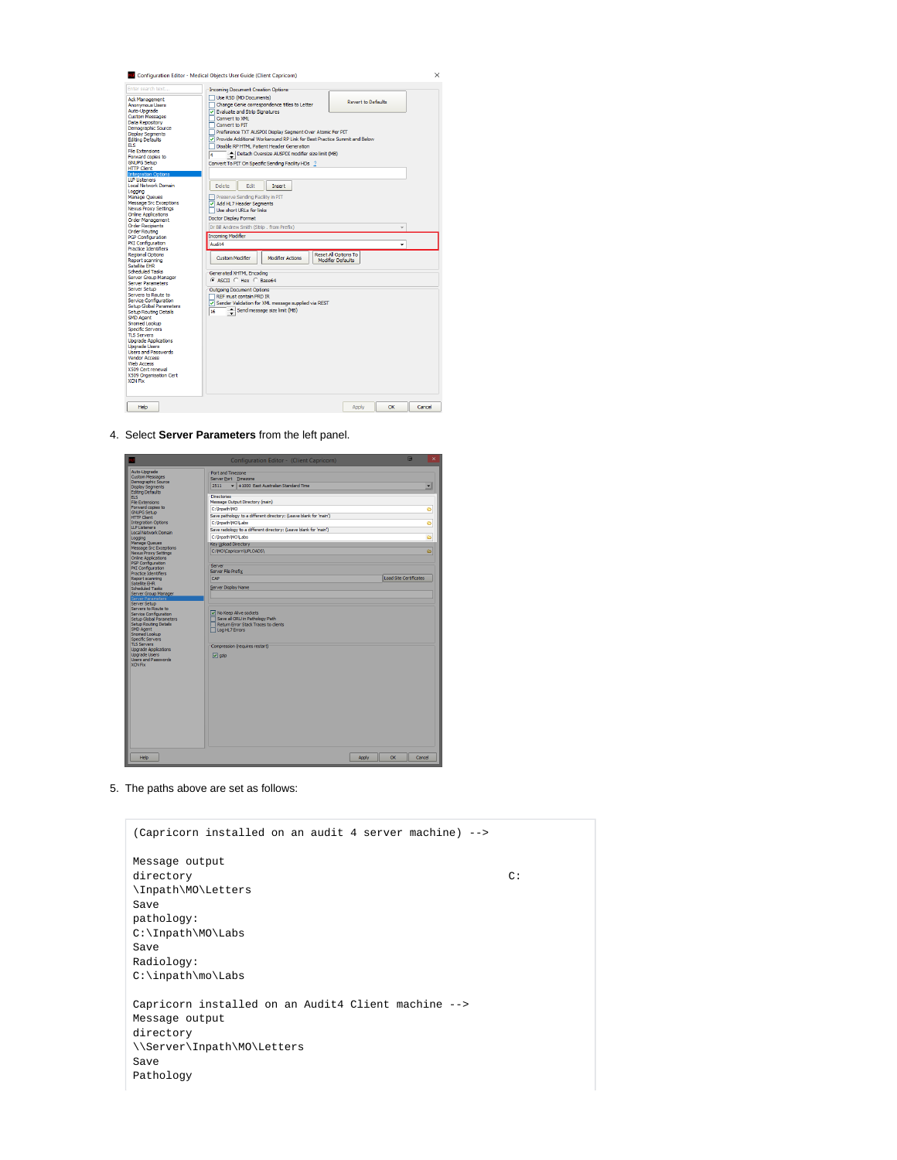

4. Select **Server Parameters** from the left panel.



5. The paths above are set as follows:

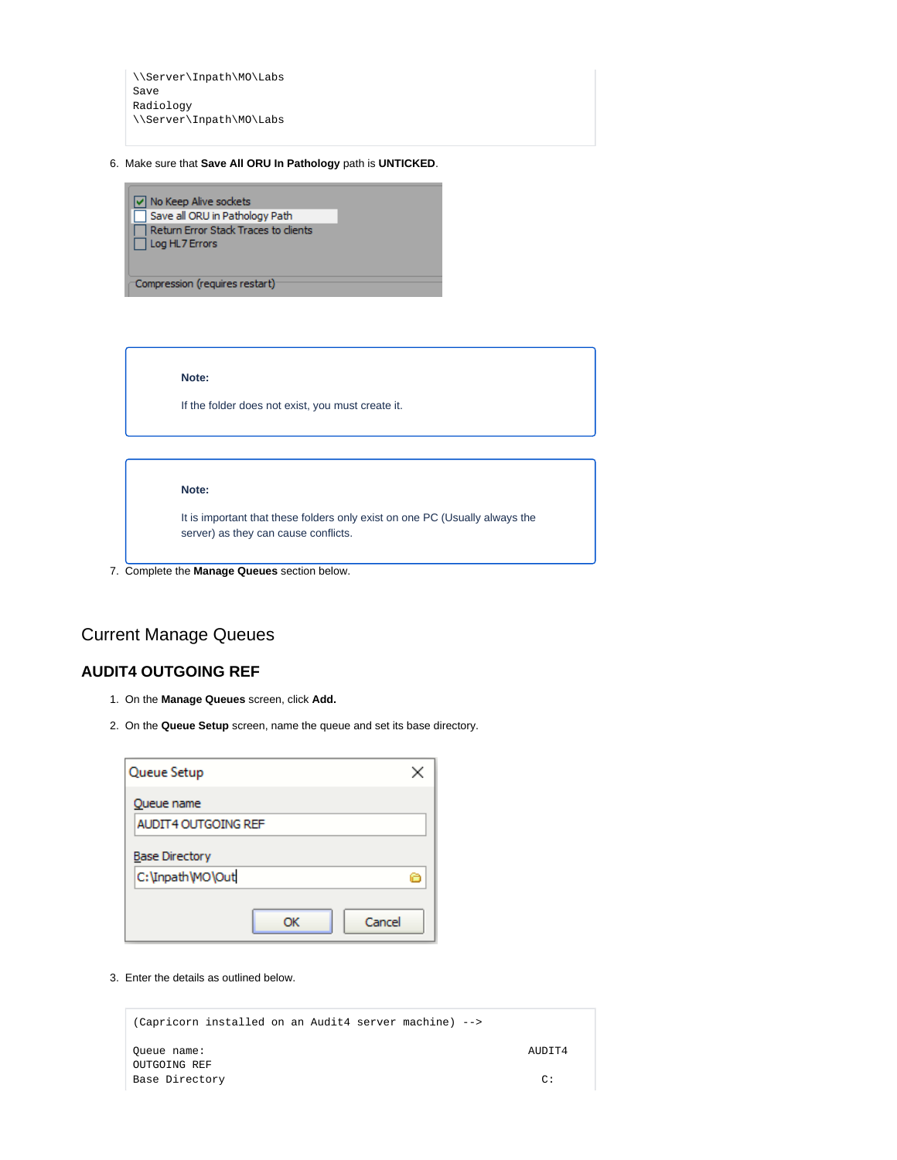\\Server\Inpath\MO\Labs Save Radiology \\Server\Inpath\MO\Labs

6. Make sure that **Save All ORU In Pathology** path is **UNTICKED**.

 $\boxed{\checkmark}$  No Keep Alive sockets ⊙ No Keep Alive sockets<br>□ Save all ORU in Pathology Path<br>□ Return Error Stack Traces to cli Return Error Stack Traces to clients  $\Box$  Log HL7 Errors

Compression (requires restart)

**Note:**

If the folder does not exist, you must create it.

**Note:**

It is important that these folders only exist on one PC (Usually always the server) as they can cause conflicts.

7. Complete the **Manage Queues** section below.

### <span id="page-3-0"></span>Current Manage Queues

### <span id="page-3-1"></span>**AUDIT4 OUTGOING REF**

- 1. On the **Manage Queues** screen, click **Add.**
- 2. On the **Queue Setup** screen, name the queue and set its base directory.

| Queue Setup                | ×      |
|----------------------------|--------|
| Queue name                 |        |
| <b>AUDIT4 OUTGOING REF</b> |        |
| <b>Base Directory</b>      |        |
| C:\Inpath\MO\Out           | e      |
| ОК                         | Cancel |

3. Enter the details as outlined below.

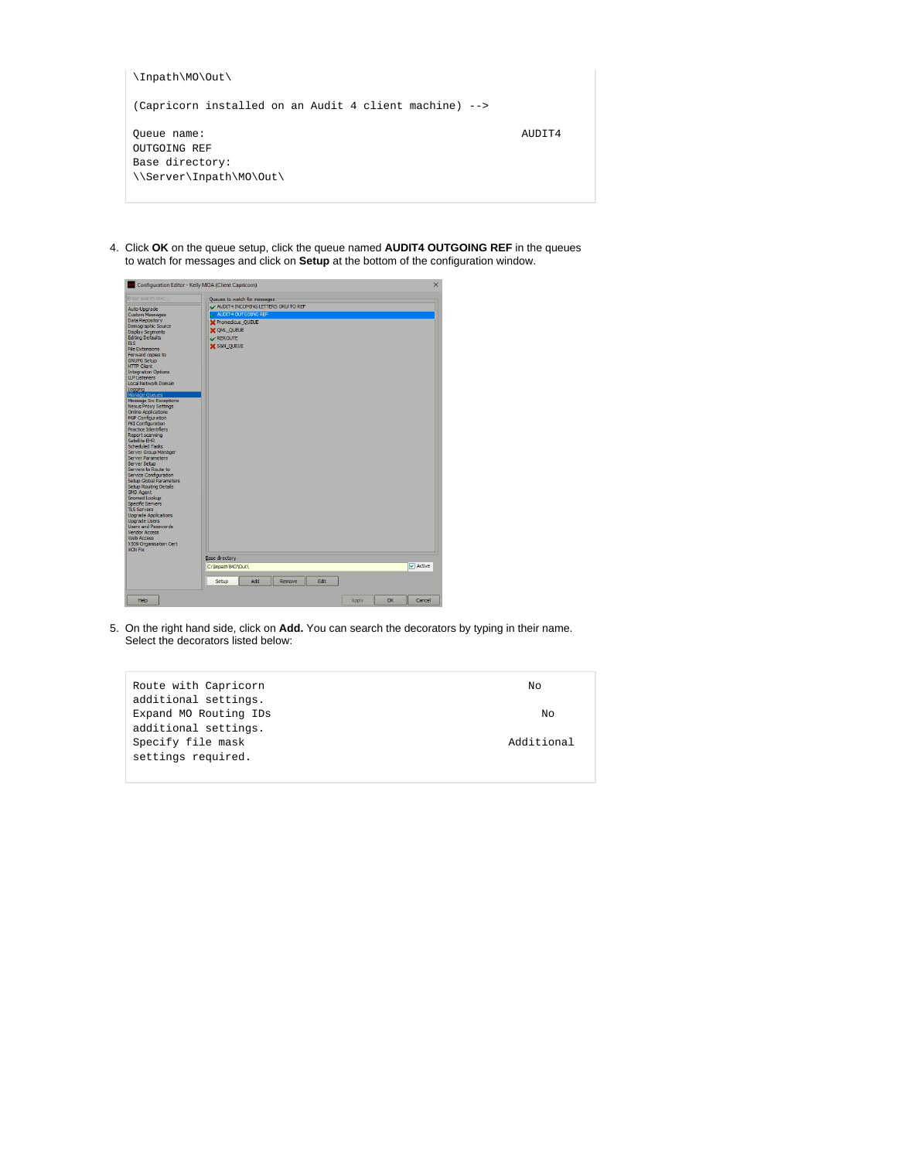| \Inpath\MO\Out\                                                           |        |
|---------------------------------------------------------------------------|--------|
| (Capricorn installed on an Audit 4 client machine) -->                    |        |
| Oueue name:<br>OUTGOING REF<br>Base directory:<br>\\Server\Inpath\MO\Out\ | AUDIT4 |

4. Click **OK** on the queue setup, click the queue named **AUDIT4 OUTGOING REF** in the queues to watch for messages and click on **Setup** at the bottom of the configuration window.



5. On the right hand side, click on **Add.** You can search the decorators by typing in their name. Select the decorators listed below:

| Route with Capricorn  | Νo         |
|-----------------------|------------|
| additional settings.  |            |
| Expand MO Routing IDs | No         |
| additional settings.  |            |
| Specify file mask     | Additional |
| settings required.    |            |
|                       |            |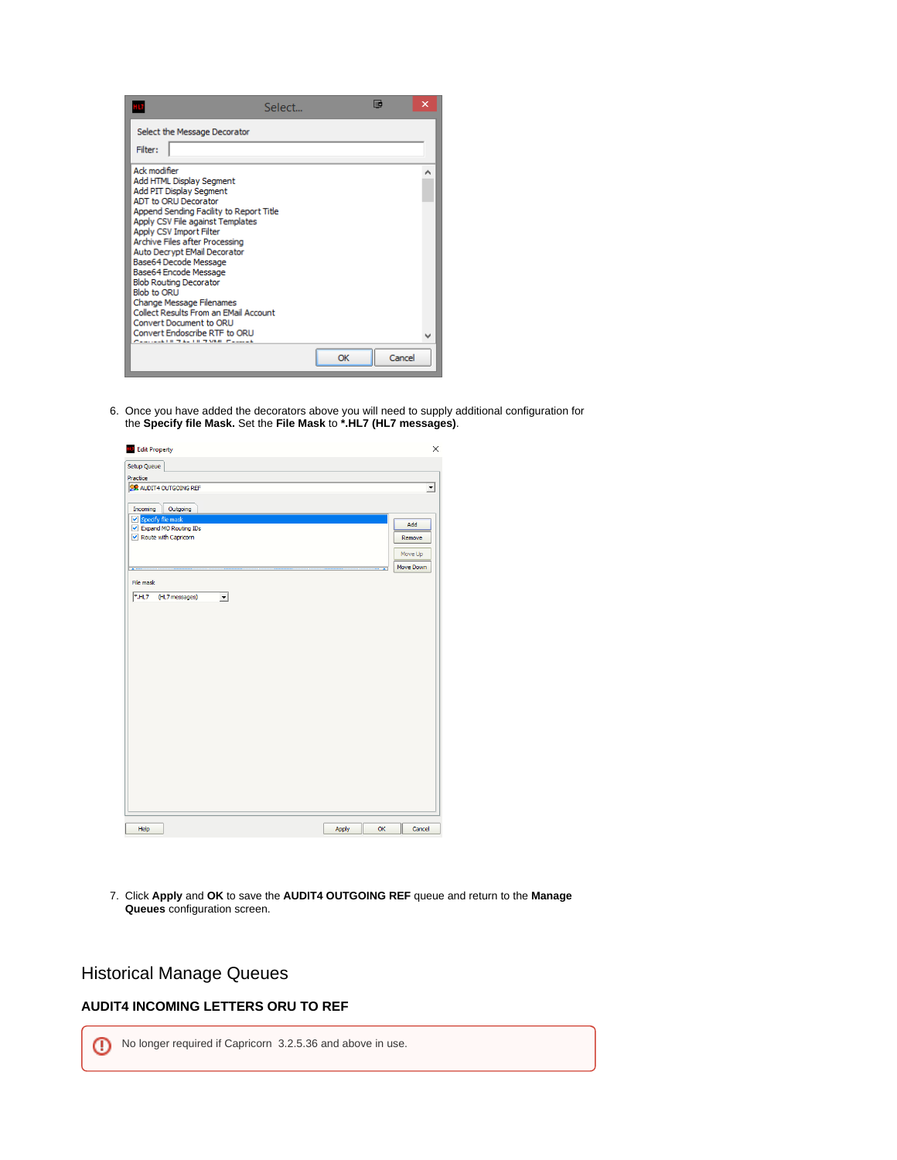|                                                                                                                                                                                                                                                                                                                                                                                                                                                                                                                                                 | Select | liic |        | × |
|-------------------------------------------------------------------------------------------------------------------------------------------------------------------------------------------------------------------------------------------------------------------------------------------------------------------------------------------------------------------------------------------------------------------------------------------------------------------------------------------------------------------------------------------------|--------|------|--------|---|
| Select the Message Decorator<br>Filter:                                                                                                                                                                                                                                                                                                                                                                                                                                                                                                         |        |      |        |   |
| Ack modifier<br>Add HTML Display Segment<br>Add PIT Display Segment<br><b>ADT to ORU Decorator</b><br>Append Sending Facility to Report Title<br>Apply CSV File against Templates<br>Apply CSV Import Filter<br>Archive Files after Processing<br>Auto Decrypt EMail Decorator<br>Base64 Decode Message<br>Base64 Encode Message<br><b>Blob Routing Decorator</b><br><b>Blob to ORU</b><br>Change Message Filenames<br>Collect Results From an EMail Account<br>Convert Document to ORU<br>Convert Endoscribe RTE to ORLI<br>THE RETAINS FEMALE |        |      |        |   |
|                                                                                                                                                                                                                                                                                                                                                                                                                                                                                                                                                 |        | OK   | Cancel |   |

6. Once you have added the decorators above you will need to supply additional configuration for the **Specify file Mask.** Set the **File Mask** to **\*.HL7 (HL7 messages)**.

| <b>ID</b> Edit Property                      |                          | $\times$  |
|----------------------------------------------|--------------------------|-----------|
| Setup Queue                                  |                          |           |
| Practice                                     |                          |           |
| <b>SR AUDIT4 OUTGOING REF</b>                |                          | ᅬ         |
|                                              |                          |           |
| Incoming<br>Outgoing                         |                          |           |
| Specify file mask                            |                          | Add       |
| Expand MO Routing IDs                        |                          |           |
| ✔ Route with Capricorn                       |                          | Remove    |
|                                              |                          | Move Up   |
|                                              |                          |           |
| $\begin{array}{c} \bullet \end{array}$       | $\overline{\phantom{a}}$ | Move Down |
| File mask                                    |                          |           |
| H17<br>(HL7 messages)<br>$\vert \cdot \vert$ |                          |           |
|                                              |                          |           |
|                                              |                          |           |
|                                              |                          |           |
|                                              |                          |           |
|                                              |                          |           |
|                                              |                          |           |
|                                              |                          |           |
|                                              |                          |           |
|                                              |                          |           |
|                                              |                          |           |
|                                              |                          |           |
|                                              |                          |           |
|                                              |                          |           |
|                                              |                          |           |
|                                              |                          |           |
|                                              |                          |           |
|                                              |                          |           |
|                                              |                          |           |
|                                              |                          |           |
|                                              |                          |           |
|                                              |                          |           |
|                                              |                          |           |
| Help                                         | OK<br>Apply              | Cancel    |
|                                              |                          |           |

7. Click **Apply** and **OK** to save the **AUDIT4 OUTGOING REF** queue and return to the **Manage Queues** configuration screen.

### <span id="page-5-0"></span>Historical Manage Queues

### <span id="page-5-1"></span>**AUDIT4 INCOMING LETTERS ORU TO REF**

No longer required if Capricorn 3.2.5.36 and above in use.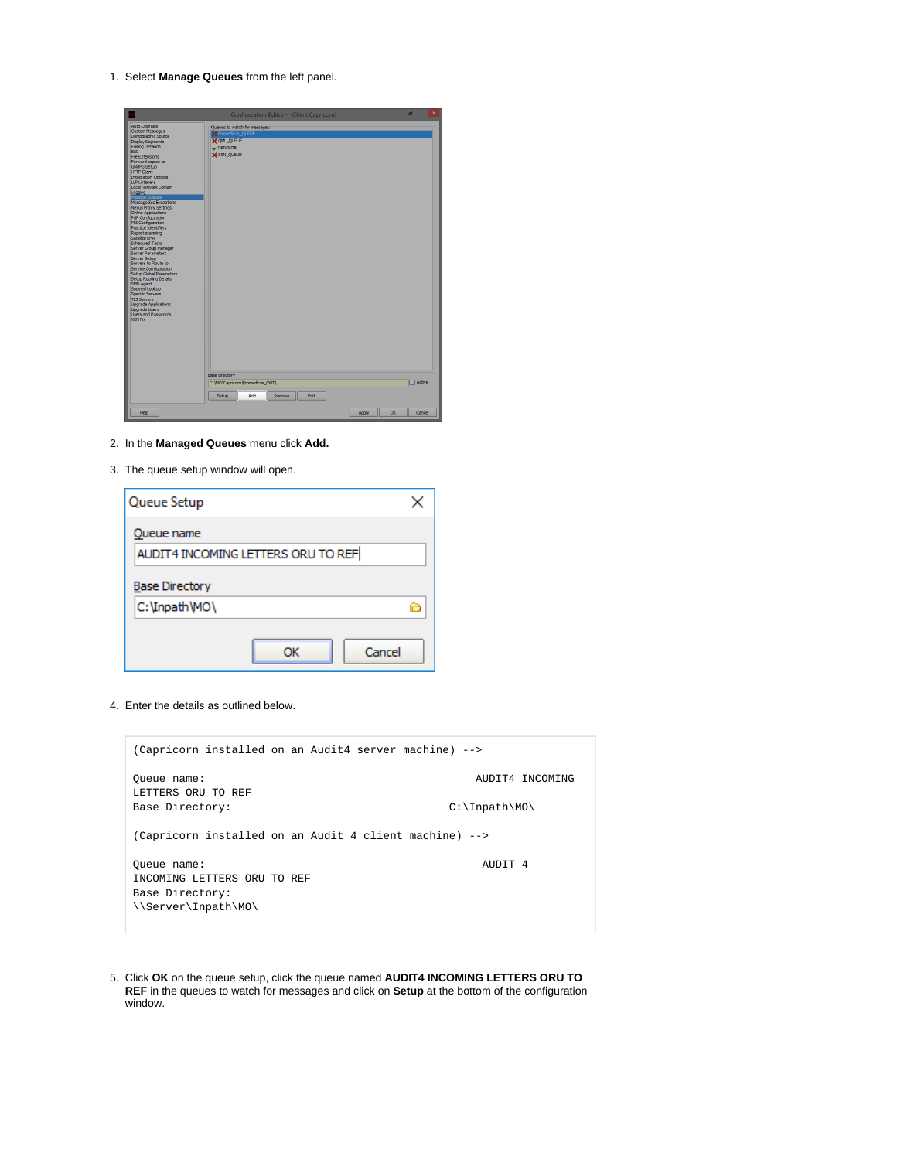1. Select **Manage Queues** from the left panel.

- 2. In the **Managed Queues** menu click **Add.**
- 3. The queue setup window will open.

| Queue Setup                        |    |        |
|------------------------------------|----|--------|
| Queue name                         |    |        |
| AUDIT4 INCOMING LETTERS ORU TO REF |    |        |
| <b>Base Directory</b>              |    |        |
| C: \Inpath \MO\                    |    |        |
|                                    | ΩК | Cancel |

4. Enter the details as outlined below.

|                                                                                      | (Capricorn installed on an Audit4 server machine) -->  |  |
|--------------------------------------------------------------------------------------|--------------------------------------------------------|--|
| Oueue name:<br>LETTERS ORU TO REF                                                    | AUDIT4 INCOMING                                        |  |
| Base Directory:                                                                      | $C:\mathcal{I} \longrightarrow \mathcal{I}$            |  |
|                                                                                      | (Capricorn installed on an Audit 4 client machine) --> |  |
| Oueue name:<br>INCOMING LETTERS ORU TO REF<br>Base Directory:<br>\\Server\Inpath\MO\ | AUDIT <sub>4</sub>                                     |  |

5. Click **OK** on the queue setup, click the queue named **AUDIT4 INCOMING LETTERS ORU TO REF** in the queues to watch for messages and click on **Setup** at the bottom of the configuration window.

## $\odot$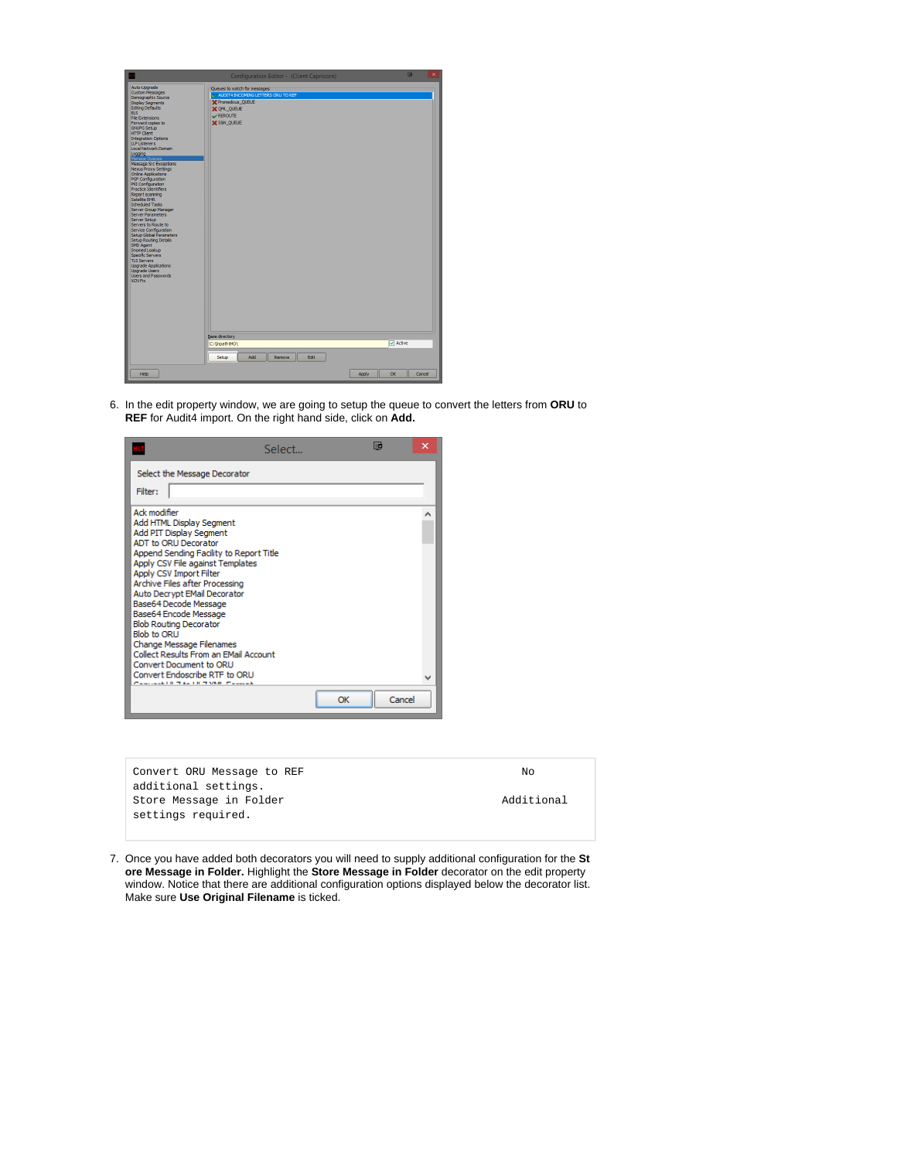

6. In the edit property window, we are going to setup the queue to convert the letters from **ORU** to **REF** for Audit4 import. On the right hand side, click on **Add.**



| NΩ         |
|------------|
|            |
| Additional |
|            |
|            |

7. Once you have added both decorators you will need to supply additional configuration for the **St ore Message in Folder.** Highlight the **Store Message in Folder** decorator on the edit property window. Notice that there are additional configuration options displayed below the decorator list. Make sure **Use Original Filename** is ticked.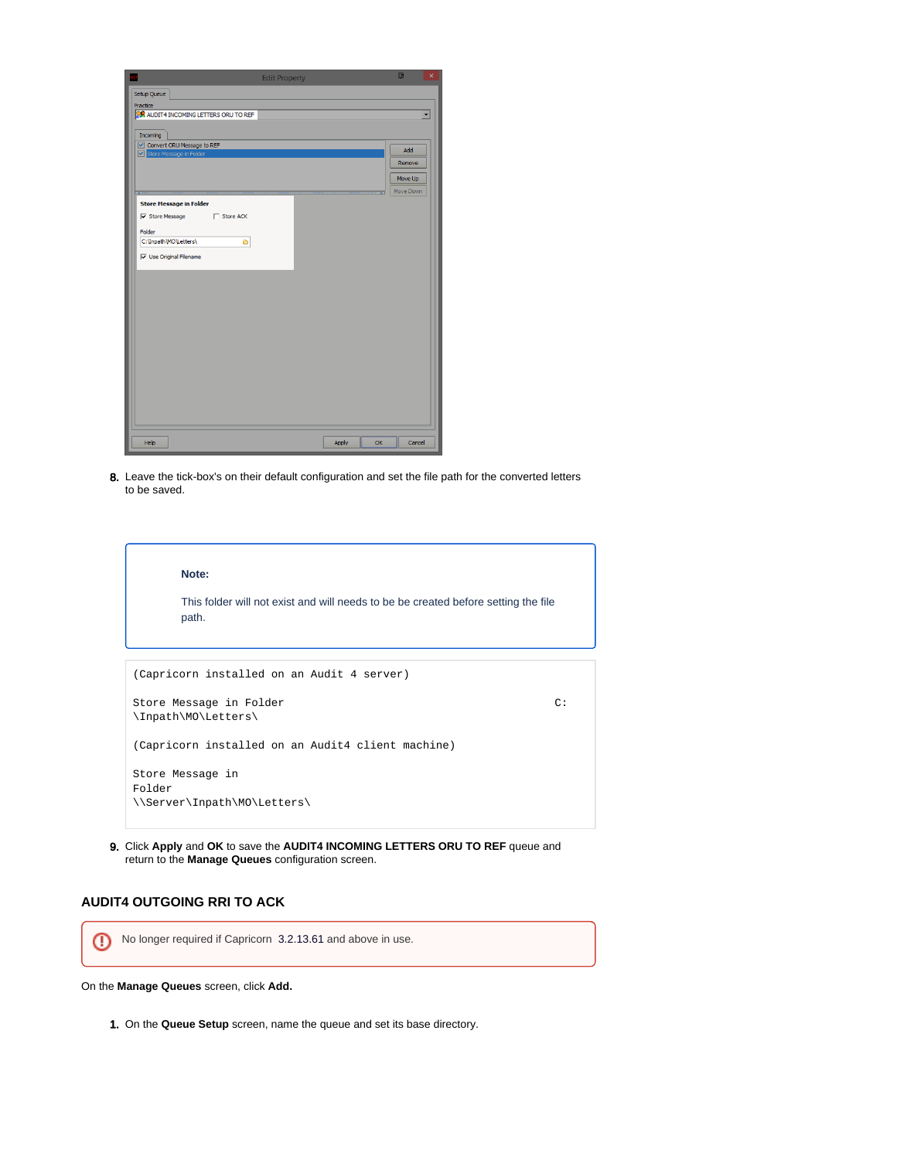| <b>Edit Property</b>                         | 画<br>$\times$         |
|----------------------------------------------|-----------------------|
| Setup Queue                                  |                       |
| Practice                                     |                       |
| <b>SR AUDIT4 INCOMING LETTERS ORU TO REF</b> | $\blacktriangledown$  |
|                                              |                       |
| Incoming                                     |                       |
| Convert ORU Message to REF                   | Add                   |
| Store Message in Folder                      | Remove                |
|                                              |                       |
|                                              | Move Up               |
|                                              | Move Down             |
| <b>Store Message in Folder</b>               |                       |
| V Store Message Store ACK                    |                       |
| Folder                                       |                       |
| C:\Inpath\MO\Letters\<br>Ô                   |                       |
|                                              |                       |
| V Use Original Filename                      |                       |
|                                              |                       |
|                                              |                       |
|                                              |                       |
|                                              |                       |
|                                              |                       |
|                                              |                       |
|                                              |                       |
|                                              |                       |
|                                              |                       |
|                                              |                       |
|                                              |                       |
|                                              |                       |
|                                              |                       |
|                                              |                       |
|                                              |                       |
| Help                                         | OK<br>Cancel<br>Apply |

8. Leave the tick-box's on their default configuration and set the file path for the converted letters to be saved.

| Note:<br>This folder will not exist and will needs to be be created before setting the file<br>path. |  |
|------------------------------------------------------------------------------------------------------|--|
|                                                                                                      |  |
| (Capricorn installed on an Audit 4 server)                                                           |  |
| Store Message in Folder<br>C:<br>\Inpath\MO\Letters\                                                 |  |
| (Capricorn installed on an Audit4 client machine)                                                    |  |
| Store Message in<br>Folder<br>\\Server\Inpath\MO\Letters\                                            |  |

9. Click **Apply** and **OK** to save the **AUDIT4 INCOMING LETTERS ORU TO REF** queue and return to the **Manage Queues** configuration screen.

### <span id="page-8-0"></span>**AUDIT4 OUTGOING RRI TO ACK**

No longer required if Capricorn 3.2.13.61 and above in use.

On the **Manage Queues** screen, click **Add.**

1. On the **Queue Setup** screen, name the queue and set its base directory.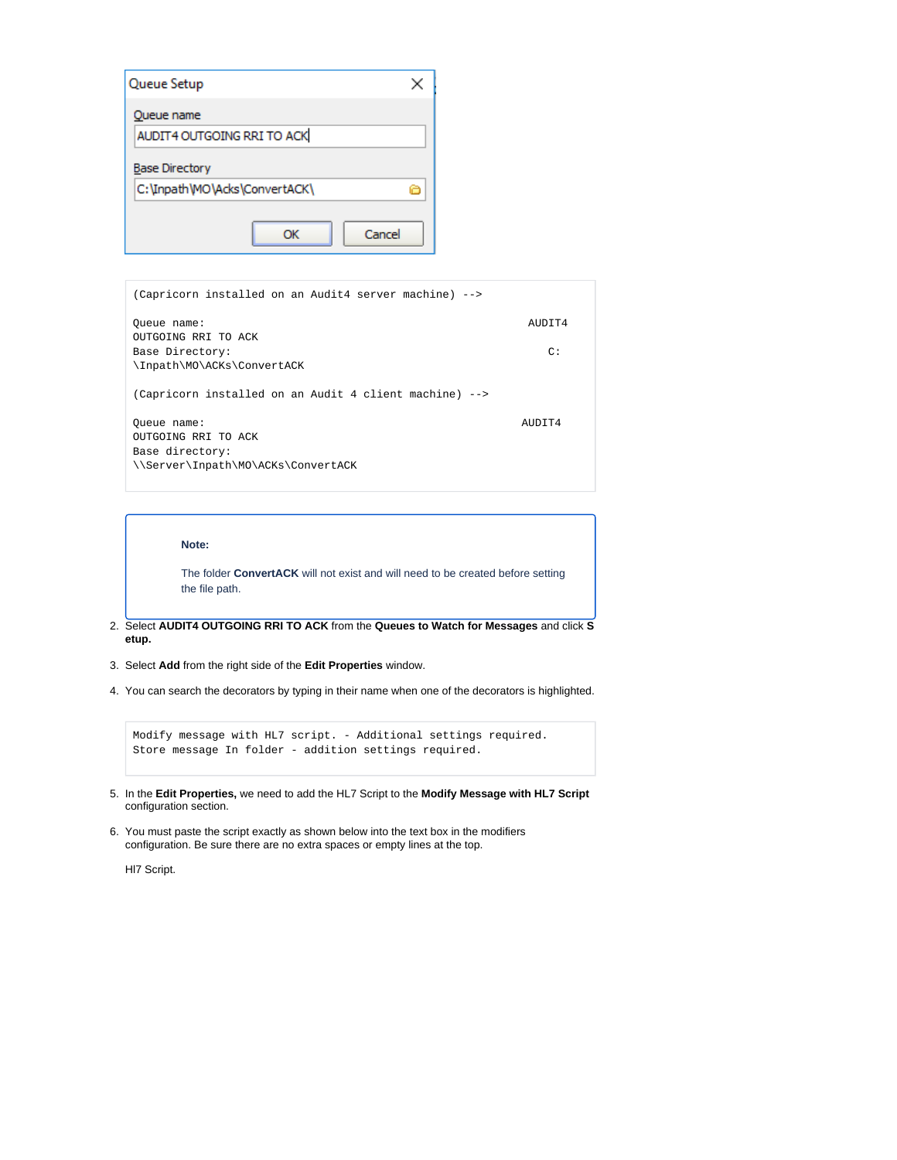

| (Capricorn installed on an Audit4 server machine) -->                                       |                 |
|---------------------------------------------------------------------------------------------|-----------------|
| Oueue name:<br>OUTGOING RRI TO ACK                                                          | AUDIT4          |
| Base Directory:<br>\Inpath\MO\ACKs\ConvertACK                                               | $\mathcal{C}$ : |
| (Capricorn installed on an Audit 4 client machine) -->                                      |                 |
| Oueue name:<br>OUTGOING RRI TO ACK<br>Base directory:<br>\\Server\Inpath\MO\ACKs\ConvertACK | AIIDTT4         |

#### **Note:**

The folder **ConvertACK** will not exist and will need to be created before setting the file path.

- 2. Select **AUDIT4 OUTGOING RRI TO ACK** from the **Queues to Watch for Messages** and click **S etup.**
- 3. Select **Add** from the right side of the **Edit Properties** window.
- 4. You can search the decorators by typing in their name when one of the decorators is highlighted.

```
Modify message with HL7 script. - Additional settings required. 
Store message In folder - addition settings required.
```
- 5. In the **Edit Properties,** we need to add the HL7 Script to the **Modify Message with HL7 Script** configuration section.
- 6. You must paste the script exactly as shown below into the text box in the modifiers configuration. Be sure there are no extra spaces or empty lines at the top.

Hl7 Script.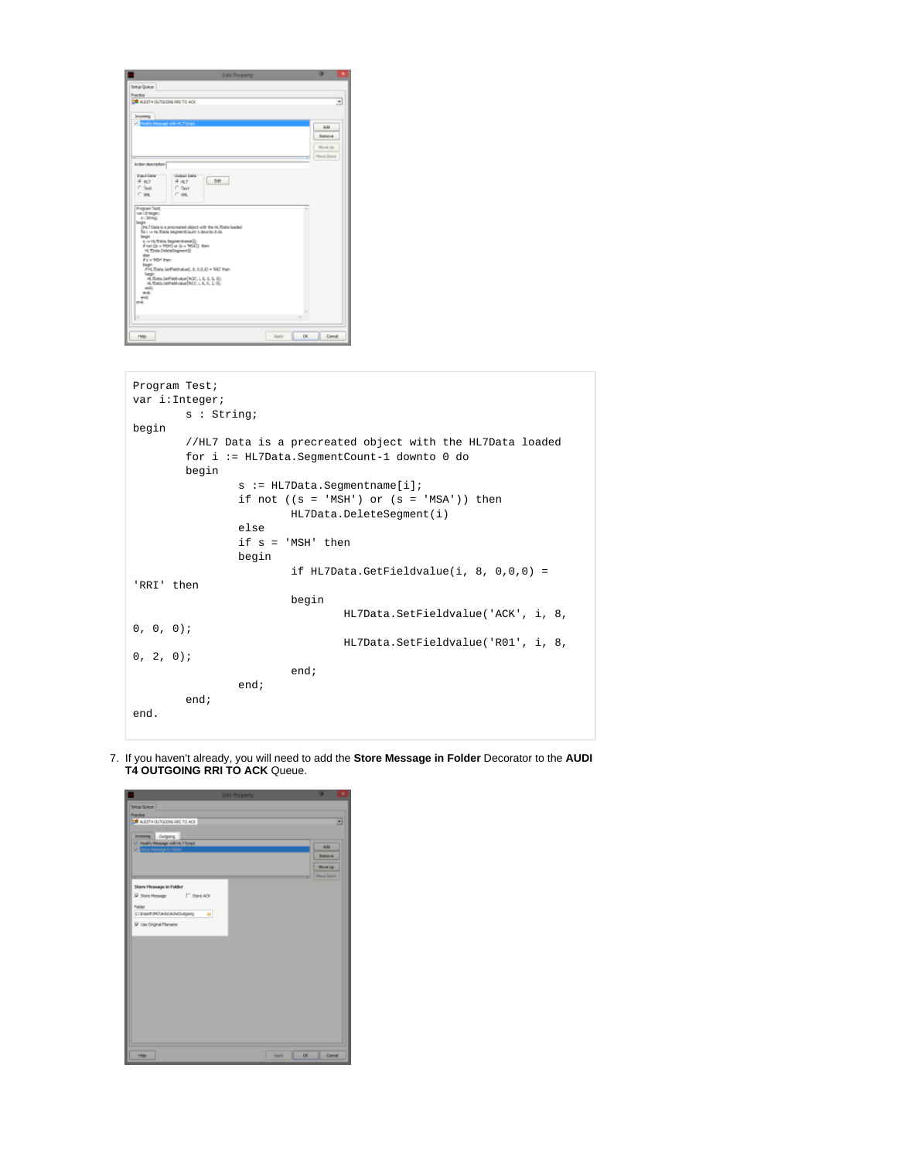| <b>Edit Property</b>                                                | 羅<br>×            |
|---------------------------------------------------------------------|-------------------|
| Schip Queue                                                         |                   |
| <b>Practice</b>                                                     |                   |
| <b>30 ALIDIT4 OUTGOING RRETO ACK</b>                                | ٠                 |
| <b>Incoming</b>                                                     |                   |
| Sil mail's Nessage with H. 7 Script                                 | a.M               |
|                                                                     |                   |
|                                                                     | <b>Rampye</b>     |
|                                                                     | Move Up           |
|                                                                     | <b>Morre Down</b> |
| Action description                                                  |                   |
| <b>Shaket Darta</b><br><b>Output Data</b>                           |                   |
| Dott<br>6H<br><b>F H.7</b>                                          |                   |
| C. Text<br>$C$ Text<br>$C$ ass.<br>C van                            |                   |
|                                                                     |                   |
| Program Test<br>var i drivger;                                      |                   |
| a : Strings                                                         |                   |
| begin<br>HL7 Data is a precreated object with the HL7Data laaded    |                   |
| for i := HL/Data SegmentCaunt-1 dawnto 8 da<br><b>Sendary</b>       |                   |
| 5 in H. Xala Segmentrane (2)<br>Fret (S = 1090) or (s = 1034)) then |                   |
| H. Tista Delete/Jepment()<br>ehse.                                  |                   |
| Fs = 169 Fen<br>begin                                               |                   |
| If H. Xiata GetFieldraked, B. D.B.ID = 'RRT then                    |                   |
| begin<br>H. Xbata. SatFaldvalue(WDC, L.B. O. B. B);                 |                   |
| H. 70sta. SetFieldvalue(ROT, I, S, O, 2, O):<br>end:                |                   |
| wal<br>end:                                                         |                   |
| eral.                                                               |                   |
|                                                                     |                   |
| ×                                                                   |                   |
|                                                                     |                   |
| Help<br>OK.<br>Apply                                                | Campel            |

| Program Test;  |                                      |                                             |                     |                                                           |  |  |
|----------------|--------------------------------------|---------------------------------------------|---------------------|-----------------------------------------------------------|--|--|
| var i:Integer; |                                      |                                             |                     |                                                           |  |  |
|                | s : String;                          |                                             |                     |                                                           |  |  |
| begin          |                                      |                                             |                     |                                                           |  |  |
|                |                                      |                                             |                     |                                                           |  |  |
|                |                                      |                                             |                     | //HL7 Data is a precreated object with the HL7Data loaded |  |  |
|                |                                      | for i := HL7Data.SeqmentCount-1 downto 0 do |                     |                                                           |  |  |
|                | begin                                |                                             |                     |                                                           |  |  |
|                | $s := HL7$ Data. Seqmentname $[i]$ ; |                                             |                     |                                                           |  |  |
|                |                                      |                                             |                     | if not $((s = 'MSH') or (s = 'MSA'))$ then                |  |  |
|                |                                      |                                             |                     | HL7Data.DeleteSeqment(i)                                  |  |  |
|                |                                      | else                                        |                     |                                                           |  |  |
|                |                                      |                                             | if $s = 'MSH'$ then |                                                           |  |  |
|                |                                      |                                             |                     |                                                           |  |  |
|                |                                      | begin                                       |                     |                                                           |  |  |
|                |                                      |                                             |                     | if HL7Data.GetFieldvalue(i, 8, $0,0,0$ ) =                |  |  |
| 'RRI' then     |                                      |                                             |                     |                                                           |  |  |
|                |                                      |                                             | begin               |                                                           |  |  |
|                |                                      |                                             |                     | HL7Data.SetFieldvalue('ACK', i, 8,                        |  |  |
| 0, 0, 0);      |                                      |                                             |                     |                                                           |  |  |
|                |                                      |                                             |                     | HL7Data.SetFieldvalue('R01', i, 8,                        |  |  |
| 0, 2, 0);      |                                      |                                             |                     |                                                           |  |  |
|                |                                      |                                             | end:                |                                                           |  |  |
|                |                                      |                                             |                     |                                                           |  |  |
|                |                                      | end;                                        |                     |                                                           |  |  |
|                | end;                                 |                                             |                     |                                                           |  |  |
| end.           |                                      |                                             |                     |                                                           |  |  |
|                |                                      |                                             |                     |                                                           |  |  |

7. If you haven't already, you will need to add the **Store Message in Folder** Decorator to the **AUDI T4 OUTGOING RRI TO ACK** Queue.

| <b>Edit Property</b>                        |              | o<br>×            |
|---------------------------------------------|--------------|-------------------|
| Scho Queue                                  |              |                   |
| <b>Practice</b>                             |              |                   |
| <b>39 AUDIT 4 OUTGOING RRETO ACK</b>        |              | 킈                 |
|                                             |              |                   |
| Incoming Cutgoing                           |              |                   |
| El Modify Message with HL7 Script           |              | AN.               |
| <b>D</b> Store Message in Feld              |              | <b>Ramove</b>     |
|                                             |              |                   |
|                                             |              | Move Ltd.         |
|                                             |              | <b>Morre Down</b> |
| Store Message in Folder                     |              |                   |
| <b>W</b> Store Message<br>$\Gamma$ Stee ACC |              |                   |
|                                             |              |                   |
| Folder                                      |              |                   |
| C/Brawfi/M3/Adic/AdioDutgaing<br>۰          |              |                   |
| <b>P</b> Use Original Filename              |              |                   |
|                                             |              |                   |
|                                             |              |                   |
|                                             |              |                   |
|                                             |              |                   |
|                                             |              |                   |
|                                             |              |                   |
|                                             |              |                   |
|                                             |              |                   |
|                                             |              |                   |
|                                             |              |                   |
|                                             |              |                   |
|                                             |              |                   |
|                                             |              |                   |
|                                             |              |                   |
|                                             |              |                   |
|                                             |              |                   |
| Help                                        | OK.<br>Apply | Comod             |
|                                             |              |                   |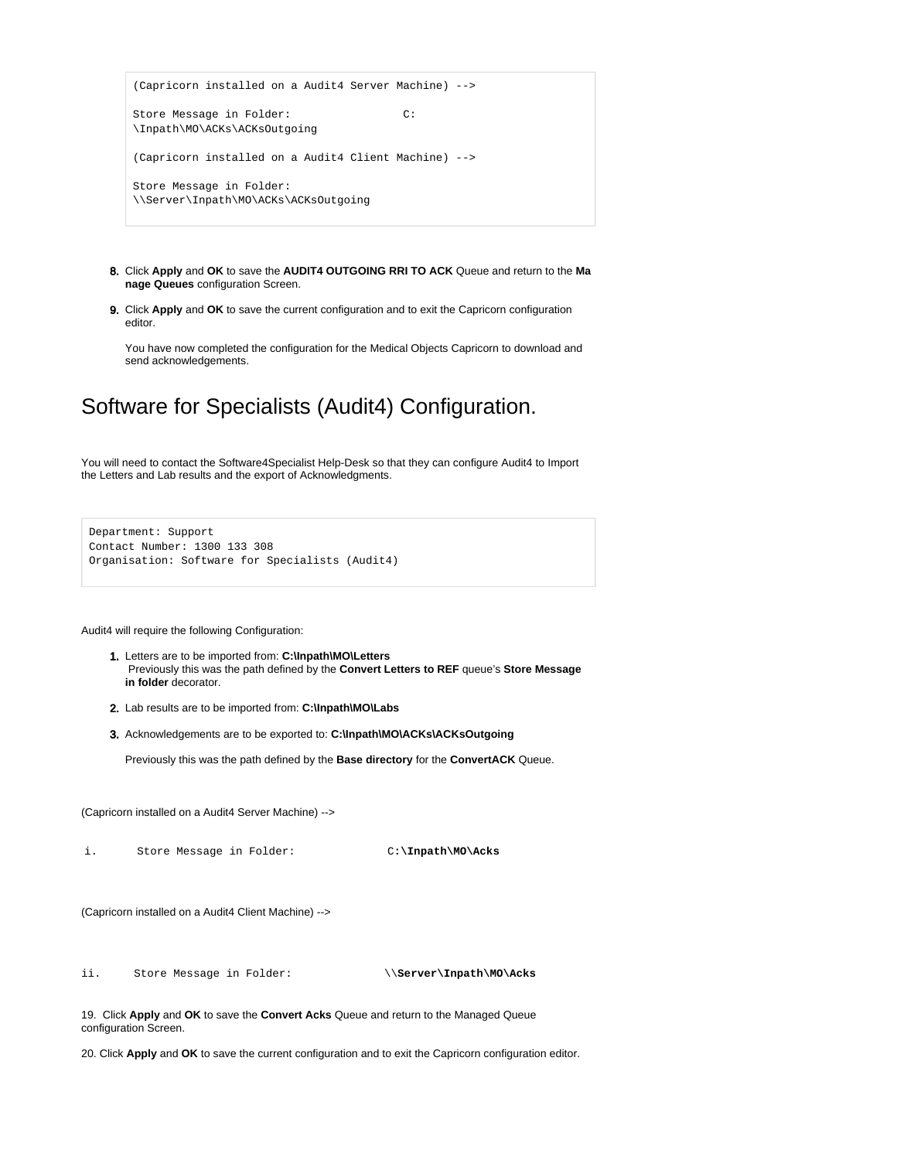```
(Capricorn installed on a Audit4 Server Machine) -->
Store Message in Folder: C:
\Inpath\MO\ACKs\ACKsOutgoing
(Capricorn installed on a Audit4 Client Machine) -->
Store Message in Folder: 
\\Server\Inpath\MO\ACKs\ACKsOutgoing
```
- 8. Click **Apply** and **OK** to save the **AUDIT4 OUTGOING RRI TO ACK** Queue and return to the **Ma nage Queues** configuration Screen.
- 9. Click **Apply** and **OK** to save the current configuration and to exit the Capricorn configuration editor.

You have now completed the configuration for the Medical Objects Capricorn to download and send acknowledgements.

# <span id="page-11-0"></span>Software for Specialists (Audit4) Configuration.

You will need to contact the Software4Specialist Help-Desk so that they can configure Audit4 to Import the Letters and Lab results and the export of Acknowledgments.

```
Department: Support
Contact Number: 1300 133 308
Organisation: Software for Specialists (Audit4)
```
Audit4 will require the following Configuration:

- 1. Letters are to be imported from: **C:\Inpath\MO\Letters** Previously this was the path defined by the **Convert Letters to REF** queue's **Store Message in folder** decorator.
- 2. Lab results are to be imported from: **C:\Inpath\MO\Labs**
- 3. Acknowledgements are to be exported to: **C:\Inpath\MO\ACKs\ACKsOutgoing**

Previously this was the path defined by the **Base directory** for the **ConvertACK** Queue.

(Capricorn installed on a Audit4 Server Machine) -->

i. Store Message in Folder: C**:\Inpath\MO\Acks**

```
(Capricorn installed on a Audit4 Client Machine) -->
```
ii. Store Message in Folder: \\**Server\Inpath\MO\Acks**

19. Click **Apply** and **OK** to save the **Convert Acks** Queue and return to the Managed Queue configuration Screen.

20. Click **Apply** and **OK** to save the current configuration and to exit the Capricorn configuration editor.